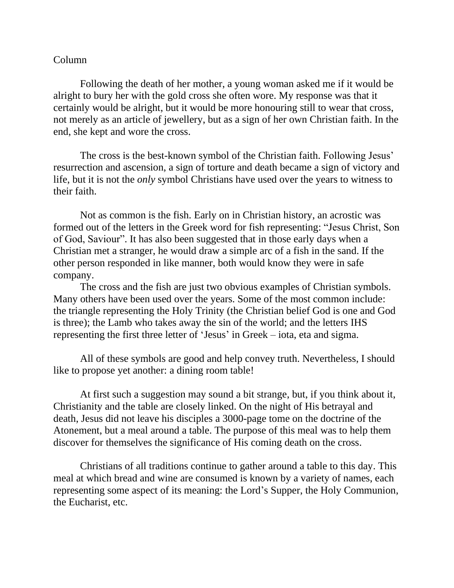## Column

Following the death of her mother, a young woman asked me if it would be alright to bury her with the gold cross she often wore. My response was that it certainly would be alright, but it would be more honouring still to wear that cross, not merely as an article of jewellery, but as a sign of her own Christian faith. In the end, she kept and wore the cross.

The cross is the best-known symbol of the Christian faith. Following Jesus' resurrection and ascension, a sign of torture and death became a sign of victory and life, but it is not the *only* symbol Christians have used over the years to witness to their faith.

Not as common is the fish. Early on in Christian history, an acrostic was formed out of the letters in the Greek word for fish representing: "Jesus Christ, Son of God, Saviour". It has also been suggested that in those early days when a Christian met a stranger, he would draw a simple arc of a fish in the sand. If the other person responded in like manner, both would know they were in safe company.

The cross and the fish are just two obvious examples of Christian symbols. Many others have been used over the years. Some of the most common include: the triangle representing the Holy Trinity (the Christian belief God is one and God is three); the Lamb who takes away the sin of the world; and the letters IHS representing the first three letter of 'Jesus' in Greek – iota, eta and sigma.

All of these symbols are good and help convey truth. Nevertheless, I should like to propose yet another: a dining room table!

At first such a suggestion may sound a bit strange, but, if you think about it, Christianity and the table are closely linked. On the night of His betrayal and death, Jesus did not leave his disciples a 3000-page tome on the doctrine of the Atonement, but a meal around a table. The purpose of this meal was to help them discover for themselves the significance of His coming death on the cross.

Christians of all traditions continue to gather around a table to this day. This meal at which bread and wine are consumed is known by a variety of names, each representing some aspect of its meaning: the Lord's Supper, the Holy Communion, the Eucharist, etc.